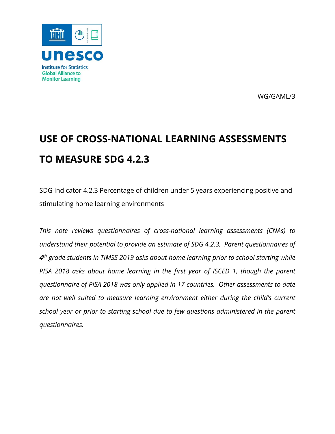

WG/GAML/3

# **USE OF CROSS-NATIONAL LEARNING ASSESSMENTS TO MEASURE SDG 4.2.3**

SDG Indicator 4.2.3 Percentage of children under 5 years experiencing positive and stimulating home learning environments

*This note reviews questionnaires of cross-national learning assessments (CNAs) to understand their potential to provide an estimate of SDG 4.2.3. Parent questionnaires of 4th grade students in TIMSS 2019 asks about home learning prior to school starting while PISA 2018 asks about home learning in the first year of ISCED 1, though the parent questionnaire of PISA 2018 was only applied in 17 countries. Other assessments to date are not well suited to measure learning environment either during the child's current school year or prior to starting school due to few questions administered in the parent questionnaires.*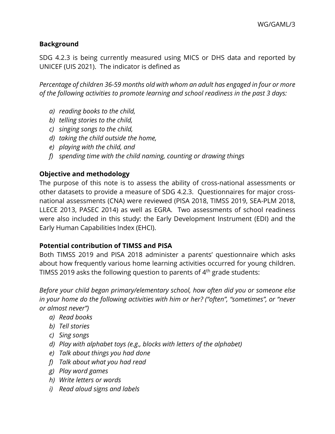## **Background**

SDG 4.2.3 is being currently measured using MICS or DHS data and reported by UNICEF (UIS 2021). The indicator is defined as

*Percentage of children 36-59 months old with whom an adult has engaged in four or more of the following activities to promote learning and school readiness in the past 3 days:*

- *a) reading books to the child,*
- *b) telling stories to the child,*
- *c) singing songs to the child,*
- *d) taking the child outside the home,*
- *e) playing with the child, and*
- *f) spending time with the child naming, counting or drawing things*

# **Objective and methodology**

The purpose of this note is to assess the ability of cross-national assessments or other datasets to provide a measure of SDG 4.2.3. Questionnaires for major crossnational assessments (CNA) were reviewed (PISA 2018, TIMSS 2019, SEA-PLM 2018, LLECE 2013, PASEC 2014) as well as EGRA. Two assessments of school readiness were also included in this study: the Early Development Instrument (EDI) and the Early Human Capabilities Index (EHCI).

## **Potential contribution of TIMSS and PISA**

Both TIMSS 2019 and PISA 2018 administer a parents' questionnaire which asks about how frequently various home learning activities occurred for young children. TIMSS 2019 asks the following question to parents of  $4<sup>th</sup>$  grade students:

*Before your child began primary/elementary school, how often did you or someone else in your home do the following activities with him or her? ("often", "sometimes", or "never or almost never")*

- *a) Read books*
- *b) Tell stories*
- *c) Sing songs*
- *d) Play with alphabet toys (e.g., blocks with letters of the alphabet)*
- *e) Talk about things you had done*
- *f) Talk about what you had read*
- *g) Play word games*
- *h) Write letters or words*
- *i) Read aloud signs and labels*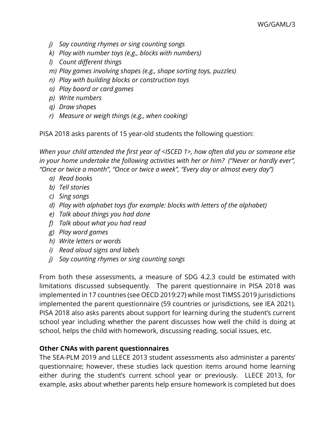- *j) Say counting rhymes or sing counting songs*
- *k) Play with number toys (e.g., blocks with numbers)*
- *l) Count different things*
- *m) Play games involving shapes (e.g., shape sorting toys, puzzles)*
- *n) Play with building blocks or construction toys*
- *o) Play board or card games*
- *p) Write numbers*
- *q) Draw shapes*
- *r) Measure or weigh things (e.g., when cooking)*

PISA 2018 asks parents of 15 year-old students the following question:

*When your child attended the first year of <ISCED 1>, how often did you or someone else in your home undertake the following activities with her or him? ("Never or hardly ever", "Once or twice a month", "Once or twice a week", "Every day or almost every day")*

- *a) Read books*
- *b) Tell stories*
- *c) Sing songs*
- *d) Play with alphabet toys (for example: blocks with letters of the alphabet)*
- *e) Talk about things you had done*
- *f) Talk about what you had read*
- *g) Play word games*
- *h) Write letters or words*
- *i) Read aloud signs and labels*
- *j) Say counting rhymes or sing counting songs*

From both these assessments, a measure of SDG 4.2.3 could be estimated with limitations discussed subsequently. The parent questionnaire in PISA 2018 was implemented in 17 countries (see OECD 2019:27) while most TIMSS 2019 jurisdictions implemented the parent questionnaire (59 countries or jurisdictions, see IEA 2021). PISA 2018 also asks parents about support for learning during the student's current school year including whether the parent discusses how well the child is doing at school, helps the child with homework, discussing reading, social issues, etc.

#### **Other CNAs with parent questionnaires**

The SEA-PLM 2019 and LLECE 2013 student assessments also administer a parents' questionnaire; however, these studies lack question items around home learning either during the student's current school year or previously. LLECE 2013, for example, asks about whether parents help ensure homework is completed but does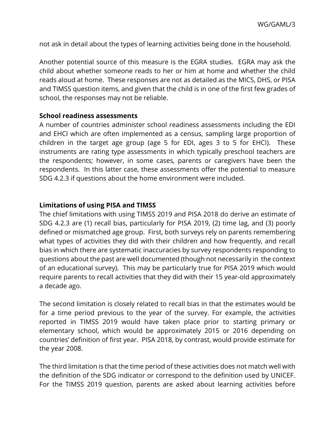not ask in detail about the types of learning activities being done in the household.

Another potential source of this measure is the EGRA studies. EGRA may ask the child about whether someone reads to her or him at home and whether the child reads aloud at home. These responses are not as detailed as the MICS, DHS, or PISA and TIMSS question items, and given that the child is in one of the first few grades of school, the responses may not be reliable.

#### **School readiness assessments**

A number of countries administer school readiness assessments including the EDI and EHCI which are often implemented as a census, sampling large proportion of children in the target age group (age 5 for EDI, ages 3 to 5 for EHCI). These instruments are rating type assessments in which typically preschool teachers are the respondents; however, in some cases, parents or caregivers have been the respondents. In this latter case, these assessments offer the potential to measure SDG 4.2.3 if questions about the home environment were included.

#### **Limitations of using PISA and TIMSS**

The chief limitations with using TIMSS 2019 and PISA 2018 do derive an estimate of SDG 4.2.3 are (1) recall bias, particularly for PISA 2019, (2) time lag, and (3) poorly defined or mismatched age group. First, both surveys rely on parents remembering what types of activities they did with their children and how frequently, and recall bias in which there are systematic inaccuracies by survey respondents responding to questions about the past are well documented (though not necessarily in the context of an educational survey). This may be particularly true for PISA 2019 which would require parents to recall activities that they did with their 15 year-old approximately a decade ago.

The second limitation is closely related to recall bias in that the estimates would be for a time period previous to the year of the survey. For example, the activities reported in TIMSS 2019 would have taken place prior to starting primary or elementary school, which would be approximately 2015 or 2016 depending on countries' definition of first year. PISA 2018, by contrast, would provide estimate for the year 2008.

The third limitation is that the time period of these activities does not match well with the definition of the SDG indicator or correspond to the definition used by UNICEF. For the TIMSS 2019 question, parents are asked about learning activities before